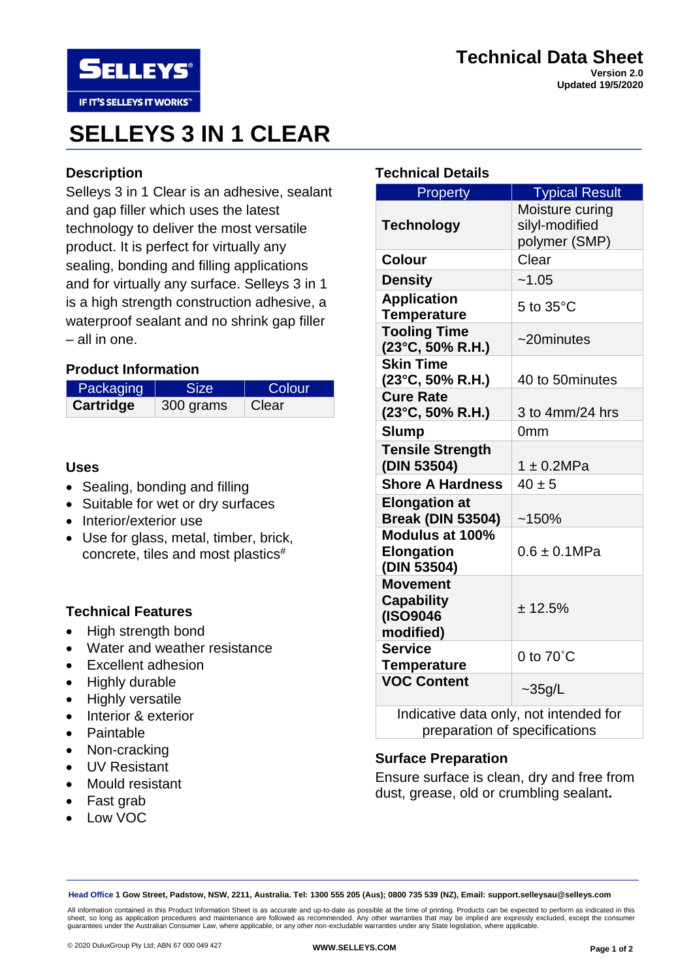

# **SELLEYS 3 IN 1 CLEAR**

# **Description**

Selleys 3 in 1 Clear is an adhesive, sealant and gap filler which uses the latest technology to deliver the most versatile product. It is perfect for virtually any sealing, bonding and filling applications and for virtually any surface. Selleys 3 in 1 is a high strength construction adhesive, a waterproof sealant and no shrink gap filler – all in one.

## **Product Information**

| Packaging | <b>Size</b> | Colour |
|-----------|-------------|--------|
| Cartridge | 300 grams   | Clear  |

## **Uses**

- Sealing, bonding and filling
- Suitable for wet or dry surfaces
- Interior/exterior use
- Use for glass, metal, timber, brick, concrete, tiles and most plastics#

## **Technical Features**

- High strength bond
- Water and weather resistance
- Excellent adhesion
- Highly durable
- Highly versatile
- Interior & exterior
- Paintable
- Non-cracking
- UV Resistant
- Mould resistant
- Fast grab
- Low VOC

# **Technical Details**

| Property                                       | <b>Typical Result</b>                       |
|------------------------------------------------|---------------------------------------------|
|                                                | Moisture curing                             |
| <b>Technology</b>                              | silyl-modified                              |
|                                                | polymer (SMP)                               |
| <b>Colour</b>                                  | Clear                                       |
| <b>Density</b>                                 | ~1.05                                       |
| <b>Application</b>                             | 5 to $35^{\circ}$ C                         |
| <b>Temperature</b>                             |                                             |
| <b>Tooling Time</b>                            | $\sim$ 20minutes                            |
| $(23^{\circ}C, 50\% R.H.)$                     |                                             |
| <b>Skin Time</b><br>$(23^{\circ}C, 50\% R.H.)$ | 40 to 50 minutes                            |
| <b>Cure Rate</b>                               |                                             |
| (23°C, 50% R.H.)                               | 3 to 4mm/24 hrs                             |
| <b>Slump</b>                                   | 0 <sub>mm</sub>                             |
| <b>Tensile Strength</b>                        |                                             |
| (DIN 53504)                                    | $1 \pm 0.2 MPa$                             |
| <b>Shore A Hardness</b>                        | $40 \pm 5$                                  |
| <b>Elongation at</b>                           |                                             |
| <b>Break (DIN 53504)</b>                       | ~150%                                       |
| Modulus at 100%                                |                                             |
| <b>Elongation</b>                              | $0.6 \pm 0.1$ MPa                           |
| (DIN 53504)                                    |                                             |
| <b>Movement</b>                                |                                             |
| <b>Capability</b><br>(ISO9046                  | ± 12.5%                                     |
| modified)                                      |                                             |
| <b>Service</b>                                 |                                             |
| <b>Temperature</b>                             | 0 to $70^{\circ}$ C                         |
| <b>VOC Content</b>                             |                                             |
| ومنوام ومستنوع والموا                          | $\sim$ 35g/L<br>ومكاسمه وممدون فمامر الرامر |

Indicative data only, not intended for preparation of specifications

## **Surface Preparation**

Ensure surface is clean, dry and free from dust, grease, old or crumbling sealant**.**

**Head Office 1 Gow Street, Padstow, NSW, 2211, Australia. Tel: 1300 555 205 (Aus); 0800 735 539 (NZ), Email: support.selleysau@selleys.com**

All information contained in this Product Information Sheet is as accurate and up-to-date as possible at the time of printing. Products can be expected to perform as indicated in this sheet, so long as application procedures and maintenance are followed as recommended. Any other warranties that may be implied are expressly excluded, except the consumer<br>guarantees under the Australian Consumer Law, where